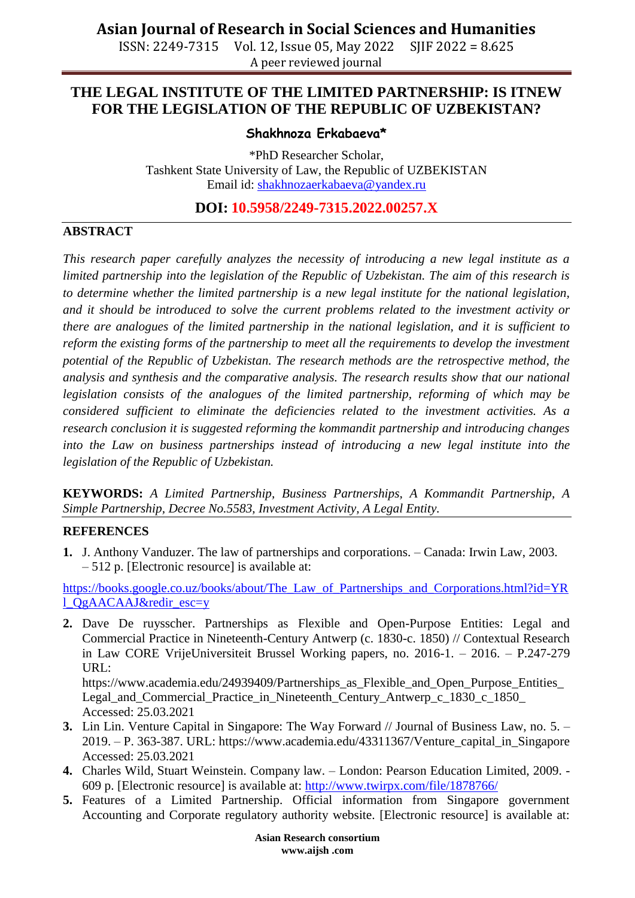ISSN: 2249-7315 Vol. 12, Issue 05, May 2022 SJIF 2022 = 8.625 A peer reviewed journal

## **THE LEGAL INSTITUTE OF THE LIMITED PARTNERSHIP: IS ITNEW FOR THE LEGISLATION OF THE REPUBLIC OF UZBEKISTAN?**

#### **Shakhnoza Erkabaeva\***

\*PhD Researcher Scholar, Tashkent State University of Law, the Republic of UZBEKISTAN Email id: [shakhnozaerkabaeva@yandex.ru](mailto:shakhnozaerkabaeva@yandex.ru)

**DOI: 10.5958/2249-7315.2022.00257.X**

### **ABSTRACT**

*This research paper carefully analyzes the necessity of introducing a new legal institute as a limited partnership into the legislation of the Republic of Uzbekistan. The aim of this research is to determine whether the limited partnership is a new legal institute for the national legislation, and it should be introduced to solve the current problems related to the investment activity or there are analogues of the limited partnership in the national legislation, and it is sufficient to reform the existing forms of the partnership to meet all the requirements to develop the investment potential of the Republic of Uzbekistan. The research methods are the retrospective method, the analysis and synthesis and the comparative analysis. The research results show that our national legislation consists of the analogues of the limited partnership, reforming of which may be considered sufficient to eliminate the deficiencies related to the investment activities. As a research conclusion it is suggested reforming the kommandit partnership and introducing changes*  into the Law on business partnerships instead of introducing a new legal institute into the *legislation of the Republic of Uzbekistan.*

**KEYWORDS:** *A Limited Partnership, Business Partnerships, A Kommandit Partnership, A Simple Partnership, Decree No.5583, Investment Activity, A Legal Entity.*

### **REFERENCES**

**1.** J. Anthony Vanduzer. The law of partnerships and corporations. – Canada: Irwin Law, 2003. – 512 p. [Electronic resource] is available at:

[https://books.google.co.uz/books/about/The\\_Law\\_of\\_Partnerships\\_and\\_Corporations.html?id=YR](https://books.google.co.uz/books/about/The_Law_of_Partnerships_and_Corporations.html?id=YRl_QgAACAAJ&redir_esc=y) [l\\_QgAACAAJ&redir\\_esc=y](https://books.google.co.uz/books/about/The_Law_of_Partnerships_and_Corporations.html?id=YRl_QgAACAAJ&redir_esc=y)

**2.** Dave De ruysscher. Partnerships as Flexible and Open-Purpose Entities: Legal and Commercial Practice in Nineteenth-Century Antwerp (c. 1830-c. 1850) // Contextual Research in Law CORE VrijeUniversiteit Brussel Working papers, no. 2016-1. – 2016. – P.247-279 URL:

https://www.academia.edu/24939409/Partnerships\_as\_Flexible\_and\_Open\_Purpose\_Entities Legal\_and\_Commercial\_Practice\_in\_Nineteenth\_Century\_Antwerp\_c\_1830\_c\_1850\_ Accessed: 25.03.2021

- **3.** Lin Lin. Venture Capital in Singapore: The Way Forward // Journal of Business Law, no. 5. 2019. – P. 363-387. URL: https://www.academia.edu/43311367/Venture\_capital\_in\_Singapore Accessed: 25.03.2021
- **4.** Charles Wild, Stuart Weinstein. Company law. London: Pearson Education Limited, 2009. 609 p. [Electronic resource] is available at:<http://www.twirpx.com/file/1878766/>
- **5.** Features of a Limited Partnership. Official information from Singapore government Accounting and Corporate regulatory authority website. [Electronic resource] is available at: